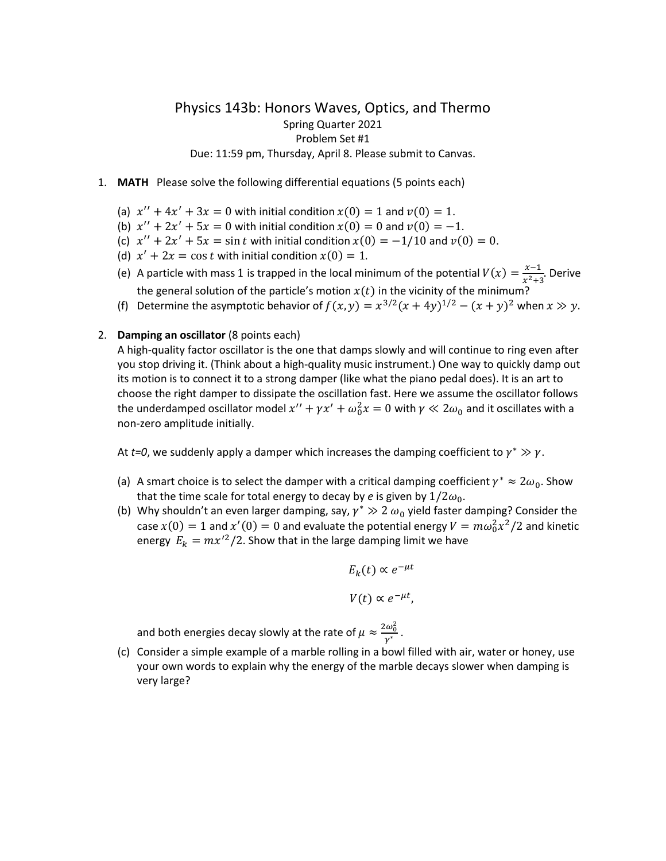## Physics 143b: Honors Waves, Optics, and Thermo Spring Quarter 2021 Problem Set #1 Due: 11:59 pm, Thursday, April 8. Please submit to Canvas.

- 1. **MATH** Please solve the following differential equations (5 points each)
	- (a)  $x'' + 4x' + 3x = 0$  with initial condition  $x(0) = 1$  and  $v(0) = 1$ .
	- (b)  $x'' + 2x' + 5x = 0$  with initial condition  $x(0) = 0$  and  $v(0) = -1$ .
	- (c)  $x'' + 2x' + 5x = \sin t$  with initial condition  $x(0) = -1/10$  and  $v(0) = 0$ .
	- (d)  $x' + 2x = \cos t$  with initial condition  $x(0) = 1$ .
	- (e) A particle with mass 1 is trapped in the local minimum of the potential  $V(x) = \frac{x-1}{x^2 + 1}$  $rac{x-1}{x^2+3}$ . Derive the general solution of the particle's motion  $x(t)$  in the vicinity of the minimum?
	- (f) Determine the asymptotic behavior of  $f(x, y) = x^{3/2}(x + 4y)^{1/2} (x + y)^2$  when  $x \gg y$ .

## 2. **Damping an oscillator** (8 points each)

A high-quality factor oscillator is the one that damps slowly and will continue to ring even after you stop driving it. (Think about a high-quality music instrument.) One way to quickly damp out its motion is to connect it to a strong damper (like what the piano pedal does). It is an art to choose the right damper to dissipate the oscillation fast. Here we assume the oscillator follows the underdamped oscillator model  $x''+\gamma x'+\omega_0^2x=0$  with  $\gamma\ll 2\omega_0$  and it oscillates with a non-zero amplitude initially.

At *t=0*, we suddenly apply a damper which increases the damping coefficient to  $\gamma^* \gg \gamma$ .

- (a) A smart choice is to select the damper with a critical damping coefficient  $\gamma^* \approx 2\omega_0$ . Show that the time scale for total energy to decay by *e* is given by  $1/2\omega_0$ .
- (b) Why shouldn't an even larger damping, say,  $\gamma^* \gg 2$   $\omega_0$  yield faster damping? Consider the case  $x(0) = 1$  and  $x'(0) = 0$  and evaluate the potential energy  $V = m\omega_0^2 x^2/2$  and kinetic energy  $E_k = mx'^2/2$ . Show that in the large damping limit we have

$$
E_k(t) \propto e^{-\mu t}
$$
  

$$
V(t) \propto e^{-\mu t},
$$

and both energies decay slowly at the rate of  $\mu \approx \frac{2\omega_0^2}{\omega^*}$  $\frac{w_0}{\gamma^*}$  .

(c) Consider a simple example of a marble rolling in a bowl filled with air, water or honey, use your own words to explain why the energy of the marble decays slower when damping is very large?